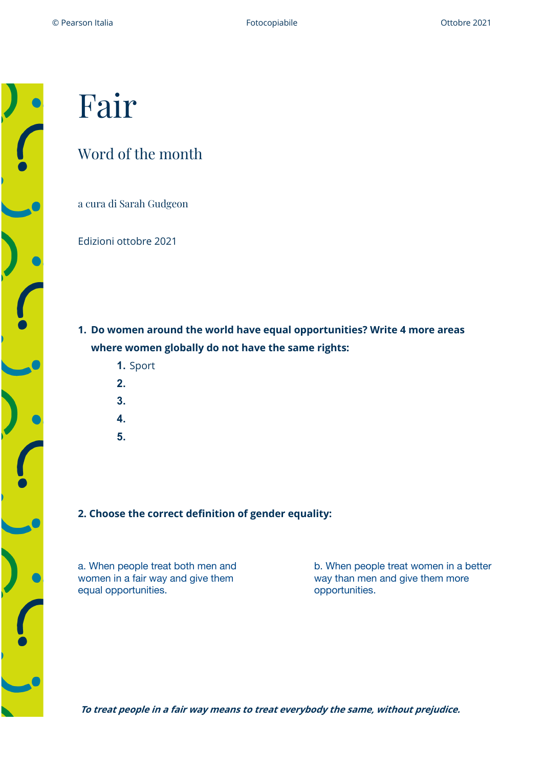# Fair

# Word of the month

a cura di Sarah Gudgeon

Edizioni ottobre 2021

**1. Do women around the world have equal opportunities? Write 4 more areas where women globally do not have the same rights:**

- **1.** Sport
- **2.**
- **3.**
- **4.**
- **5.**

## **2. Choose the correct definition of gender equality:**

a. When people treat both men and women in a fair way and give them equal opportunities.

b. When people treat women in a better way than men and give them more opportunities.

**To treat people in a fair way means to treat everybody the same, without prejudice.**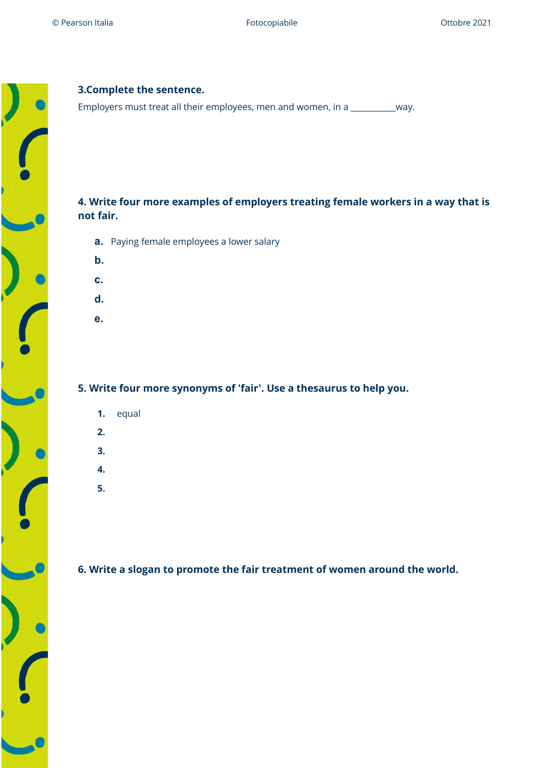

## **3.Complete the sentence.**

Employers must treat all their employees, men and women, in a \_\_\_\_\_\_\_\_\_\_\_way.

# **4. Write four more examples of employers treating female workers in a way that is not fair.**

- **a.** Paying female employees a lower salary
- **b.**
- **c.**
- **d.**
- **e.**

### **5. Write four more synonyms of 'fair'. Use a thesaurus to help you.**

- **1.** equal
- **2.**
- **3.**
- **4.**
- **5.**

**6. Write a slogan to promote the fair treatment of women around the world.**